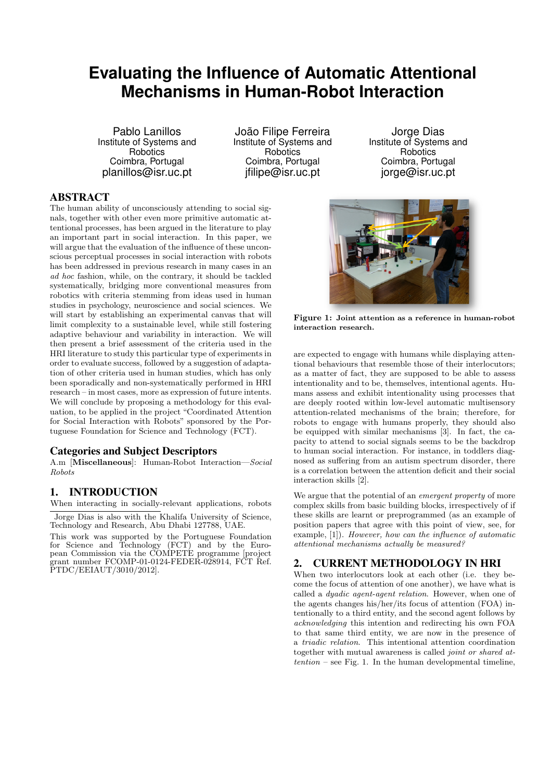# **Evaluating the Influence of Automatic Attentional Mechanisms in Human-Robot Interaction**

Pablo Lanillos Institute of Systems and **Robotics** Coimbra, Portugal planillos@isr.uc.pt

João Filipe Ferreira Institute of Systems and **Robotics** Coimbra, Portugal ifilipe@isr.uc.pt

Jorge Dias Institute of Systems and **Robotics** Coimbra, Portugal jorge@isr.uc.pt

## ABSTRACT

The human ability of unconsciously attending to social signals, together with other even more primitive automatic attentional processes, has been argued in the literature to play an important part in social interaction. In this paper, we will argue that the evaluation of the influence of these unconscious perceptual processes in social interaction with robots has been addressed in previous research in many cases in an ad hoc fashion, while, on the contrary, it should be tackled systematically, bridging more conventional measures from robotics with criteria stemming from ideas used in human studies in psychology, neuroscience and social sciences. We will start by establishing an experimental canvas that will limit complexity to a sustainable level, while still fostering adaptive behaviour and variability in interaction. We will then present a brief assessment of the criteria used in the HRI literature to study this particular type of experiments in order to evaluate success, followed by a suggestion of adaptation of other criteria used in human studies, which has only been sporadically and non-systematically performed in HRI research – in most cases, more as expression of future intents. We will conclude by proposing a methodology for this evaluation, to be applied in the project "Coordinated Attention for Social Interaction with Robots" sponsored by the Portuguese Foundation for Science and Technology (FCT).

## Categories and Subject Descriptors

A.m [Miscellaneous]: Human-Robot Interaction—Social Robots

## 1. INTRODUCTION

When interacting in socially-relevant applications, robots

Jorge Dias is also with the Khalifa University of Science, Technology and Research, Abu Dhabi 127788, UAE.

This work was supported by the Portuguese Foundation for Science and Technology (FCT) and by the European Commission via the COMPETE programme [project grant number FCOMP-01-0124-FEDER-028914, FCT Ref. PTDC/EEIAUT/3010/2012].



Figure 1: Joint attention as a reference in human-robot interaction research.

are expected to engage with humans while displaying attentional behaviours that resemble those of their interlocutors; as a matter of fact, they are supposed to be able to assess intentionality and to be, themselves, intentional agents. Humans assess and exhibit intentionality using processes that are deeply rooted within low-level automatic multisensory attention-related mechanisms of the brain; therefore, for robots to engage with humans properly, they should also be equipped with similar mechanisms [3]. In fact, the capacity to attend to social signals seems to be the backdrop to human social interaction. For instance, in toddlers diagnosed as suffering from an autism spectrum disorder, there is a correlation between the attention deficit and their social interaction skills [2].

We argue that the potential of an *emergent property* of more complex skills from basic building blocks, irrespectively of if these skills are learnt or preprogrammed (as an example of position papers that agree with this point of view, see, for example, [1]). However, how can the influence of automatic attentional mechanisms actually be measured?

## 2. CURRENT METHODOLOGY IN HRI

When two interlocutors look at each other (i.e. they become the focus of attention of one another), we have what is called a dyadic agent-agent relation. However, when one of the agents changes his/her/its focus of attention (FOA) intentionally to a third entity, and the second agent follows by acknowledging this intention and redirecting his own FOA to that same third entity, we are now in the presence of a triadic relation. This intentional attention coordination together with mutual awareness is called joint or shared at $tention - see Fig. 1. In the human developmental timeline,$